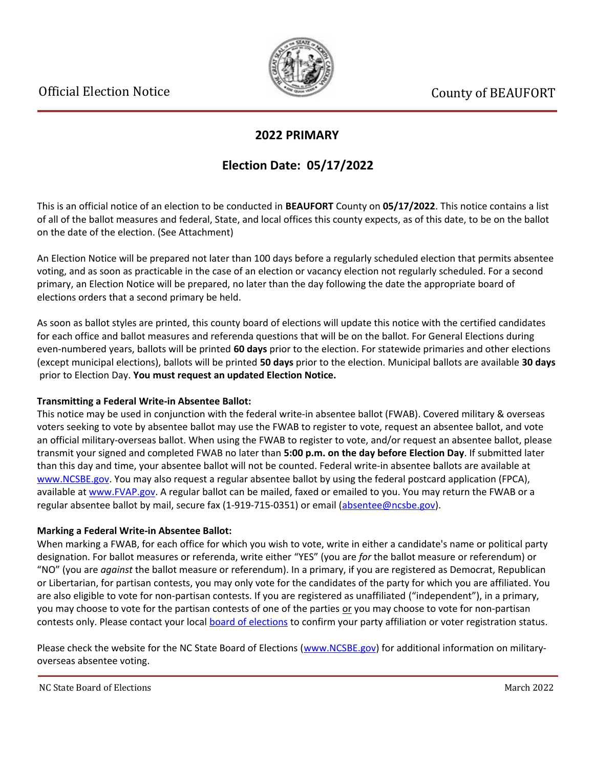

## **2022 PRIMARY**

## **Election Date: 05/17/2022**

This is an official notice of an election to be conducted in **BEAUFORT** County on **05/17/2022**. This notice contains a list of all of the ballot measures and federal, State, and local offices this county expects, as of this date, to be on the ballot on the date of the election. (See Attachment)

An Election Notice will be prepared not later than 100 days before a regularly scheduled election that permits absentee voting, and as soon as practicable in the case of an election or vacancy election not regularly scheduled. For a second primary, an Election Notice will be prepared, no later than the day following the date the appropriate board of elections orders that a second primary be held.

As soon as ballot styles are printed, this county board of elections will update this notice with the certified candidates for each office and ballot measures and referenda questions that will be on the ballot. For General Elections during even-numbered years, ballots will be printed **60 days** prior to the election. For statewide primaries and other elections (except municipal elections), ballots will be printed **50 days** prior to the election. Municipal ballots are available **30 days** prior to Election Day. **You must request an updated Election Notice.**

### **Transmitting a Federal Write-in Absentee Ballot:**

This notice may be used in conjunction with the federal write-in absentee ballot (FWAB). Covered military & overseas voters seeking to vote by absentee ballot may use the FWAB to register to vote, request an absentee ballot, and vote an official military-overseas ballot. When using the FWAB to register to vote, and/or request an absentee ballot, please transmit your signed and completed FWAB no later than **5:00 p.m. on the day before Election Day**. If submitted later than this day and time, your absentee ballot will not be counted. Federal write-in absentee ballots are available at [www.NCSBE.gov.](https://www.ncsbe.gov/) You may also request a regular absentee ballot by using the federal postcard application (FPCA), available at [www.FVAP.gov](https://www.fvap.gov/). A regular ballot can be mailed, faxed or emailed to you. You may return the FWAB or a regular absentee ballot by mail, secure fax (1-919-715-0351) or email (absentee@ncsbe.gov).

## **Marking a Federal Write-in Absentee Ballot:**

When marking a FWAB, for each office for which you wish to vote, write in either a candidate's name or political party designation. For ballot measures or referenda, write either "YES" (you are *for* the ballot measure or referendum) or "NO" (you are *against* the ballot measure or referendum). In a primary, if you are registered as Democrat, Republican or Libertarian, for partisan contests, you may only vote for the candidates of the party for which you are affiliated. You are also eligible to vote for non-partisan contests. If you are registered as unaffiliated ("independent"), in a primary, you may choose to vote for the partisan contests of one of the parties or you may choose to vote for non-partisan contests only. Please contact your local [board of elections](https://vt.ncsbe.gov/BOEInfo/) to confirm your party affiliation or voter registration status.

Please check the website for the NC State Board of Elections ([www.NCSBE.gov\)](https://www.ncsbe.gov/) for additional information on militaryoverseas absentee voting.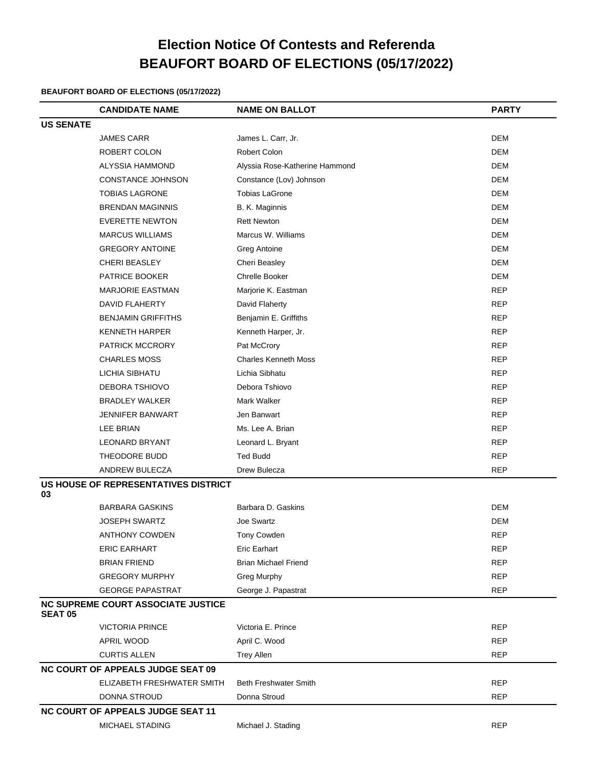# **Election Notice Of Contests and Referenda BEAUFORT BOARD OF ELECTIONS (05/17/2022)**

### **BEAUFORT BOARD OF ELECTIONS (05/17/2022)**

|                  | <b>CANDIDATE NAME</b>                     | <b>NAME ON BALLOT</b>          | <b>PARTY</b> |
|------------------|-------------------------------------------|--------------------------------|--------------|
| <b>US SENATE</b> |                                           |                                |              |
|                  | <b>JAMES CARR</b>                         | James L. Carr, Jr.             | <b>DEM</b>   |
|                  | ROBERT COLON                              | Robert Colon                   | <b>DEM</b>   |
|                  | ALYSSIA HAMMOND                           | Alyssia Rose-Katherine Hammond | <b>DEM</b>   |
|                  | CONSTANCE JOHNSON                         | Constance (Lov) Johnson        | <b>DEM</b>   |
|                  | <b>TOBIAS LAGRONE</b>                     | <b>Tobias LaGrone</b>          | <b>DEM</b>   |
|                  | <b>BRENDAN MAGINNIS</b>                   | B. K. Maginnis                 | <b>DEM</b>   |
|                  | <b>EVERETTE NEWTON</b>                    | <b>Rett Newton</b>             | DEM          |
|                  | <b>MARCUS WILLIAMS</b>                    | Marcus W. Williams             | <b>DEM</b>   |
|                  | <b>GREGORY ANTOINE</b>                    | Greg Antoine                   | <b>DEM</b>   |
|                  | <b>CHERI BEASLEY</b>                      | Cheri Beasley                  | <b>DEM</b>   |
|                  | PATRICE BOOKER                            | Chrelle Booker                 | <b>DEM</b>   |
|                  | <b>MARJORIE EASTMAN</b>                   | Marjorie K. Eastman            | <b>REP</b>   |
|                  | <b>DAVID FLAHERTY</b>                     | David Flaherty                 | <b>REP</b>   |
|                  | <b>BENJAMIN GRIFFITHS</b>                 | Benjamin E. Griffiths          | <b>REP</b>   |
|                  | <b>KENNETH HARPER</b>                     | Kenneth Harper, Jr.            | <b>REP</b>   |
|                  | PATRICK MCCRORY                           | Pat McCrory                    | <b>REP</b>   |
|                  | <b>CHARLES MOSS</b>                       | <b>Charles Kenneth Moss</b>    | <b>REP</b>   |
|                  | LICHIA SIBHATU                            | Lichia Sibhatu                 | REP          |
|                  | DEBORA TSHIOVO                            | Debora Tshiovo                 | <b>REP</b>   |
|                  | <b>BRADLEY WALKER</b>                     | Mark Walker                    | <b>REP</b>   |
|                  | <b>JENNIFER BANWART</b>                   | Jen Banwart                    | <b>REP</b>   |
|                  | LEE BRIAN                                 | Ms. Lee A. Brian               | <b>REP</b>   |
|                  | <b>LEONARD BRYANT</b>                     | Leonard L. Bryant              | <b>REP</b>   |
|                  | THEODORE BUDD                             | <b>Ted Budd</b>                | <b>REP</b>   |
|                  | ANDREW BULECZA                            | Drew Bulecza                   | <b>REP</b>   |
| 03               | US HOUSE OF REPRESENTATIVES DISTRICT      |                                |              |
|                  | <b>BARBARA GASKINS</b>                    | Barbara D. Gaskins             | <b>DEM</b>   |
|                  | <b>JOSEPH SWARTZ</b>                      | Joe Swartz                     | <b>DEM</b>   |
|                  | ANTHONY COWDEN                            | Tony Cowden                    | <b>REP</b>   |
|                  | <b>ERIC EARHART</b>                       | <b>Eric Earhart</b>            | REP          |
|                  | <b>BRIAN FRIEND</b>                       | <b>Brian Michael Friend</b>    | <b>REP</b>   |
|                  | <b>GREGORY MURPHY</b>                     | Greg Murphy                    | <b>REP</b>   |
|                  | <b>GEORGE PAPASTRAT</b>                   | George J. Papastrat            | <b>REP</b>   |
| <b>SEAT 05</b>   | <b>NC SUPREME COURT ASSOCIATE JUSTICE</b> |                                |              |
|                  | <b>VICTORIA PRINCE</b>                    | Victoria E. Prince             | <b>REP</b>   |
|                  | APRIL WOOD                                | April C. Wood                  | REP          |
|                  | <b>CURTIS ALLEN</b>                       | <b>Trey Allen</b>              | <b>REP</b>   |
|                  | <b>NC COURT OF APPEALS JUDGE SEAT 09</b>  |                                |              |
|                  | ELIZABETH FRESHWATER SMITH                | <b>Beth Freshwater Smith</b>   | REP          |
|                  | <b>DONNA STROUD</b>                       | Donna Stroud                   | <b>REP</b>   |
|                  | <b>NC COURT OF APPEALS JUDGE SEAT 11</b>  |                                |              |
|                  | MICHAEL STADING                           | Michael J. Stading             | <b>REP</b>   |